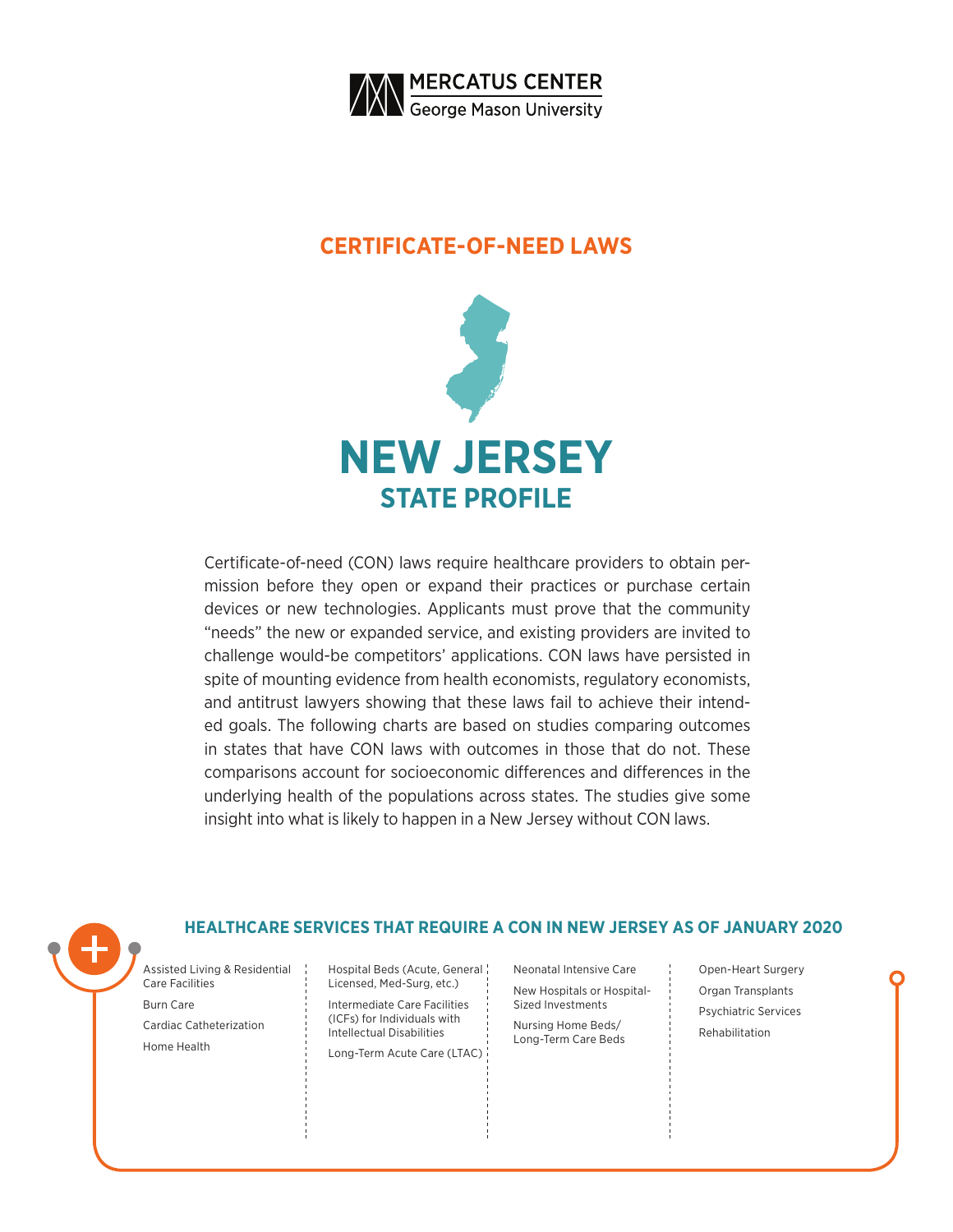

### **CERTIFICATE-OF-NEED LAWS**



Certificate-of-need (CON) laws require healthcare providers to obtain permission before they open or expand their practices or purchase certain devices or new technologies. Applicants must prove that the community "needs" the new or expanded service, and existing providers are invited to challenge would-be competitors' applications. CON laws have persisted in spite of mounting evidence from health economists, regulatory economists, and antitrust lawyers showing that these laws fail to achieve their intended goals. The following charts are based on studies comparing outcomes in states that have CON laws with outcomes in those that do not. These comparisons account for socioeconomic differences and differences in the underlying health of the populations across states. The studies give some insight into what is likely to happen in a New Jersey without CON laws.

### **HEALTHCARE SERVICES THAT REQUIRE A CON IN NEW JERSEY AS OF JANUARY 2020**

Assisted Living & Residential Care Facilities Burn Care Cardiac Catheterization Home Health

Hospital Beds (Acute, General Licensed, Med-Surg, etc.) Intermediate Care Facilities (ICFs) for Individuals with Intellectual Disabilities Long-Term Acute Care (LTAC)

Neonatal Intensive Care New Hospitals or Hospital-Sized Investments Nursing Home Beds/ Long-Term Care Beds

Open-Heart Surgery Organ Transplants Psychiatric Services Rehabilitation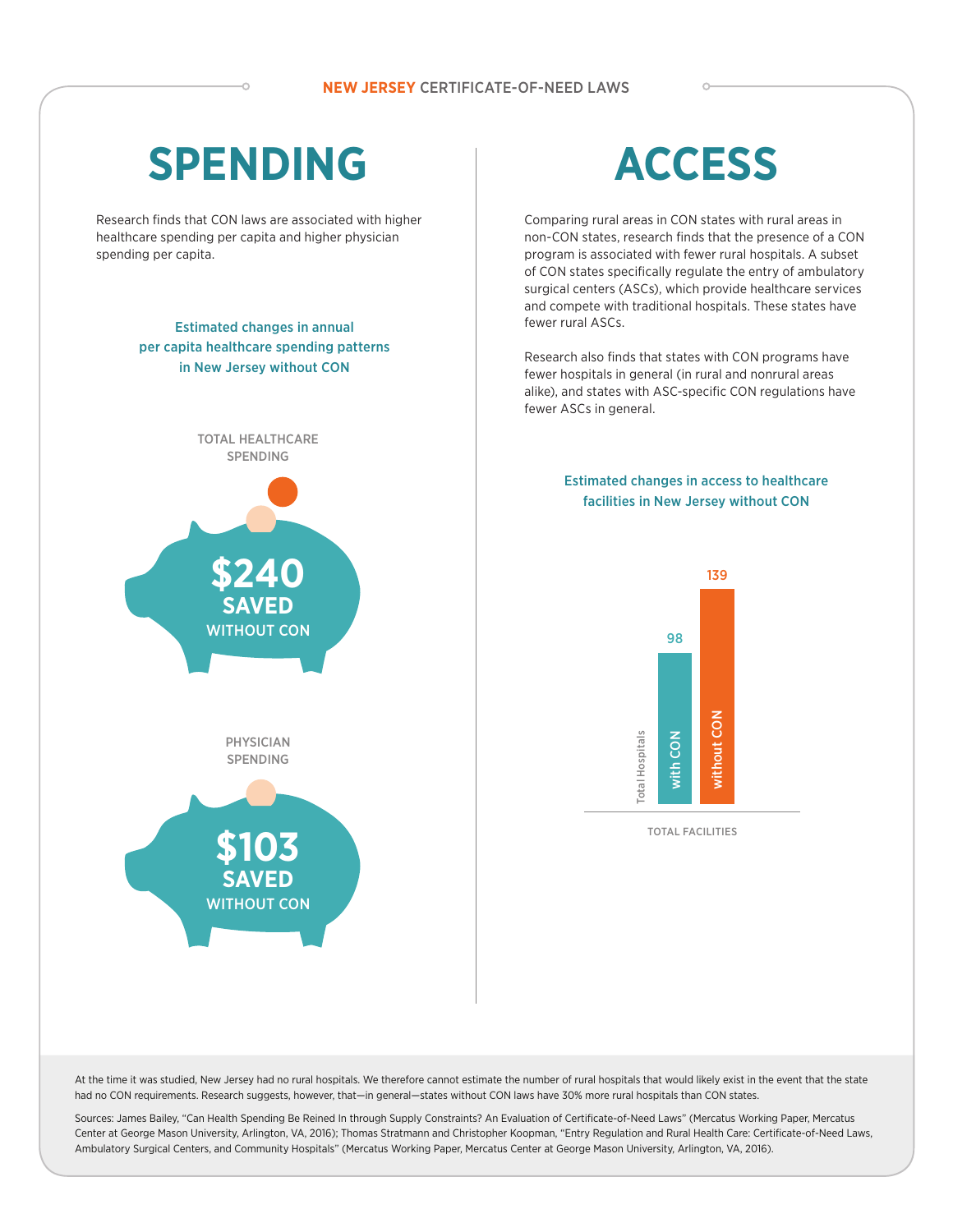## **SPENDING**

Research finds that CON laws are associated with higher healthcare spending per capita and higher physician spending per capita.

### Estimated changes in annual per capita healthcare spending patterns in New Jersey without CON



PHYSICIAN SPENDING



# **ACCESS**

Comparing rural areas in CON states with rural areas in non-CON states, research finds that the presence of a CON program is associated with fewer rural hospitals. A subset of CON states specifically regulate the entry of ambulatory surgical centers (ASCs), which provide healthcare services and compete with traditional hospitals. These states have fewer rural ASCs.

Research also finds that states with CON programs have fewer hospitals in general (in rural and nonrural areas alike), and states with ASC-specific CON regulations have fewer ASCs in general.

#### Estimated changes in access to healthcare facilities in New Jersey without CON



At the time it was studied, New Jersey had no rural hospitals. We therefore cannot estimate the number of rural hospitals that would likely exist in the event that the state had no CON requirements. Research suggests, however, that-in general-states without CON laws have 30% more rural hospitals than CON states.

Sources: James Bailey, "Can Health Spending Be Reined In through Supply Constraints? An Evaluation of Certificate-of-Need Laws" (Mercatus Working Paper, Mercatus Center at George Mason University, Arlington, VA, 2016); Thomas Stratmann and Christopher Koopman, "Entry Regulation and Rural Health Care: Certificate-of-Need Laws, Ambulatory Surgical Centers, and Community Hospitals" (Mercatus Working Paper, Mercatus Center at George Mason University, Arlington, VA, 2016).